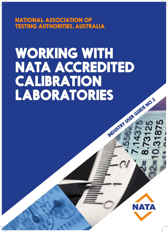NATIONAL ASSOCIATION OF TESTING AUTHORITIES, AUSTRALIA

# WORKING WITH NATA ACCREDITED **CALIBRATION<br>LABORATORIES** LABORATORIES INDEPEND. 2

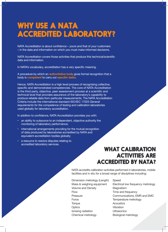# WHY USE A NATA ACCREDITED LABORATORY?

NATA Accreditation is about confidence – yours and that of your customers – in the data and information on which you must make informed decisions.

NATA Accreditation covers those activities that produce this technical/scientific data and information.

In NATA's vocabulary, accreditation has a very specific meaning.

A procedure by which an **authoritative body** gives formal recognition that a body is **competent** to carry out **specific tasks**.

Hence, NATA Accreditation is a high level process of recognising collective, specific and demonstrated competencies. The core of NATA Accreditation is the third party, objective, peer assessment process at a scientific and technical level that provides assurance of the laboratory's capability to produce reliable data from particular measurements. The NATA Accreditation Criteria include the international standard ISO/IEC 17025 *General requirements for the competence of testing and calibration laboratories*  used globally for laboratory accreditation.

In addition to confidence, NATA Accreditation provides you with:

- an ability to outsource to an independent, objective authority the monitoring of laboratory performance;
- international arrangements providing for the mutual recognition of data produced by laboratories accredited by NATA and equivalent accreditation bodies globally;
- a resource to resolve disputes relating to accredited laboratory services.

## WHAT CALIBRATION ACTIVITIES ARE ACCREDITED BY NATA?

NATA accredits calibration activities performed in laboratories, mobile facilities and in situ for a broad range of disciplines including:

- Dimension metrology (Length) Speed Volume and Density **Magnetism** Flow Time and frequency Force Temperature metrology Torque **Acoustics** Optics **Vibration** Ionising radiation Ultrasonics Chemical metrology Biological metrology
- Mass & weighing equipment Electrical low frequency metrology Pressure **Communications**, EMR and EMC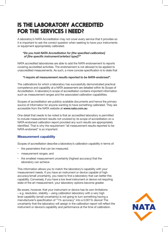# IS THE LABORATORY ACCREDITED FOR THE SERVICES I NEED?

A laboratory's NATA Accreditation may not cover every service that it provides so it is important to ask the correct question when seeking to have your instruments or equipment appropriately calibrated.

#### *"Do you hold NATA Accreditation for [the specified calibration] of [the specific instrument/artefact type]?"*

NATA accredited laboratories are able to add the NATA endorsement to reports covering accredited activities. The endorsement is not allowed to be applied to unaccredited measurements. As such, a more concise specification is to state that

#### *"I require all measurement results reported to be NATA-endorsed".*

The calibrations for which a laboratory has successfully demonstrated practical competence and capability at a NATA assessment are detailed within its Scope of Accreditation. A laboratory's scope of accreditation contains important information such as measurement ranges and the associated calibration capabilities.

Scopes of accreditation are publicly available documents and hence the primary source of information for anyone wanting to have something calibrated. They are accessible from the NATA website at **www.nata.com.au**

One detail that needs to be noted is that an accredited laboratory is permitted to include measurement results not covered by its scope of accreditation on a NATA-endorsed calibration report provided any such results are appropriately identified. That is why the requirement "all measurement results reported to be NATA-endorsed" is so important.

#### **Measurement capability**

Scopes of accreditation describe a laboratory's calibration capability in terms of:

- the parameters that can be measured;
- measurement ranges; and
- the smallest measurement uncertainty (highest accuracy) that the laboratory can achieve.

This information allows you to match the laboratory's capability with your measurement needs. If you have an instrument or device capable of high accuracy/small uncertainty, you need to find a laboratory that can better this capability. Conversely, if you have a low level instrument or device not requiring state of the art measurement, your laboratory options become greater.

Be aware, however, that your instrument or device has its own limitations – e.g. resolution, stability – using calibration laboratory with a very high level capability (small uncertainty) is not going to turn something having a manufacturer's specification of "1% accuracy" into a 0.001% device! The uncertainty that the laboratory will assign in the calibration report will reflect the instrument or device's capability and performance at the time of calibration.

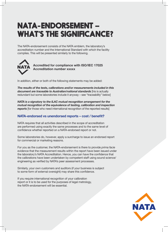# NATA-ENDORSEMENT – WHAT'S THE SIGNIFICANCE?

The NATA-endorsement consists of the NATA emblem, the laboratory's accreditation number and the International Standard with which the facility complies. This will be presented similarly to the following.



**Accredited for compliance with ISO/IEC 17025 Accreditation number xxxxx**

In addition, either or both of the following statements may be added:

*The results of the tests, calibrations and/or measurements included in this document are traceable to Australian/national standards* [his is actually redundant but some laboratories include it anyway – see "traceability" below]

*NATA is a signatory to the ILAC mutual recognition arrangement for the mutual recognition of the equivalence of testing, calibration and inspection* **reports** [for those who need international recognition of the reported results]

#### **NATA-endorsed vs unendorsed reports – cost / benefit?**

NATA requires that all activities described in the scope of accreditation are performed using exactly the same processes and to the same level of confidence whether reported on a NATA-endorsed report or not.

Some laboratories do, however, apply a surcharge to issue an endorsed report for commercial or marketing reasons.

For you as the customer, the NATA-endorsement is there to provide *prima facie*  evidence that the measurement results within the report have been issued under the laboratory's NATA Accreditation. Hence, you can have the confidence that the calibrations have been undertaken by competent staff using sound science/ engineering as verified by NATA's peer assessment processes.

Similarly, your own customers and auditors (if your business is subject to some form of external oversight) may share this confidence.

If you require international recognition of your calibration report or it is to be used for the purposes of legal metrology, the NATA-endorsement will be essential.

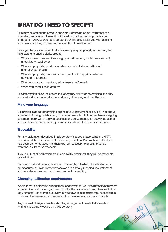# WHAT DO I NEED TO SPECIFY?

This may be stating the obvious but simply dropping off an instrument at a laboratory and saying "I want it calibrated" is not the best approach – yet it happens. NATA accredited laboratories will happily assist you with defining your needs but they do need some specific information first.

Once you have ascertained that a laboratory is appropriately accredited, the next step is to ensure clarity around:

- Why you need their services e.g. your QA system, trade measurement, a regulatory requirement
- Where appropriate, what parameters you wish to have calibrated and for what range(s);
- Where appropriate, the standard or specification applicable to the device or instrument;
- Whether or not you want any adjustments performed;
- When you need it calibrated by.

This information gives the accredited laboratory clarity for determining its ability and availability to undertake the work and, of course, work out the cost.

#### **Mind your language**

Calibration is about determining errors in your instrument or device – not about adjusting it. Although a laboratory may undertake action to bring an item undergoing calibration back within a given specification, adjustment is an activity additional to the calibration process and you must specify whether this is to be done.

#### **Traceability**

For any calibration described in a laboratory's scope of accreditation, NATA has ensured that measurement traceability to national/international standards has been demonstrated. It is, therefore, unnecessary to specify that you want the results to be traceable.

If you ask that all calibration results are NATA-endorsed, they will be traceable by definition.

Beware of calibration reports stating "Traceable to NATA". Since NATA holds no measurement standards whatsoever, it is a totally meaningless statement and provides no assurance of measurement traceability.

#### **Changing calibration requirements**

Where there is a standing arrangement or contract for your instruments/equipment to be routinely calibrated, you need to notify the laboratory of any changes to the requirements. For example, a review of your own requirements may necessitate a change in the measurement ranges and/or the number of calibration points.

**PANIMINAL** 

Any material change to such a standing arrangement needs to be made in writing and acknowledged by the laboratory.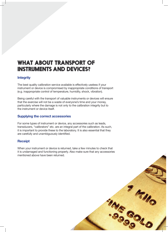## WHAT ABOUT TRANSPORT OF INSTRUMENTS AND DEVICES?

#### **Integrity**

The best quality calibration service available is effectively useless if your instrument or device is compromised by inappropriate conditions of transport (e.g. inappropriate control of temperature, humidity, shock, vibration).

Being careful with the transport of valuable instruments or devices will ensure that the exercise will not be a waste of everyone's time and your money, particularly where the damage is not only to the calibration integrity but to the instrument or device itself.

#### **Supplying the correct accessories**

For some types of instrument or device, any accessories such as leads, transducers, "calibrators" etc. are an integral part of the calibration. As such, it is important to provide these to the laboratory. It is also essential that they are carefully and unambiguously identified.

#### **Receipt**

When your instrument or device is returned, take a few minutes to check that it is undamaged and functioning properly. Also make sure that any accessories mentioned above have been returned.

**7 4 110** 

ing Soup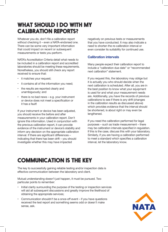# WHAT SHOULD I DO WITH MY CALIBRATION REPORTS?

Whatever you do, don't file a calibration report without checking it – even a NATA-endorsed one. There can be some very important information that could impact on recent or subsequent measurements or tests you perform.

NATA's Accreditation Criteria detail what needs to be included in a calibration report and accredited laboratories should be meeting these requirements. Nonetheless, you should still check any report received to ensure that:

- it matches your request;
- it contains all of the information you need;
- the results are reported clearly and unambiguously; and
- there is no bad news  $-$  e.g. your instrument or device does not meet a specification or it has a fault!

If your instrument or device has been adjusted, you should receive the before and after measurements in your calibration report. Don't ignore this information. Used in conjunction with the previous calibration report, it can provide evidence of the instrument or device's stability and inform any decision on the appropriate calibration interval. If there are significant differences – indicating that there has been drift – you should investigate whether this may have impacted

negatively on previous tests or measurements that you have conducted. It may also indicate a need to shorten the re-calibration interval or even consider its suitability for continued use.

#### **Calibration intervals**

Many people expect their calibration report to include a "calibration due date" or "recommended next calibration" statement.

If you request this, the laboratory may oblige but it is actually you who should decide when the next calibration is scheduled. After all, you are in the best position to know what your equipment is used for and what your measurement needs are. Additionally, you have the records of previous calibrations to see if there is any drift (changes in the calibration results as discussed above) which provides evidence that the interval should be shortened, is about right or may even be lengthened.

If you need the calibration performed for legal purposes – such as trade measurement – there may be calibration intervals specified in regulation. If this is the case, discuss this with your laboratory. Similarly, if you are having a calibration performed to meet a standard which specifies a calibration interval, let the laboratory know.

# COMMUNICATION IS THE KEY

The key to successfully gaining reliable testing and/or inspection data is effective communication between the laboratory and client.

Mutual understanding doesn't just happen, it must be pursued. Two particular points to remember:

- Initial clarity surrounding the purpose of the testing or inspection services will aid all subsequent discussions and greatly improve the likelihood of obtaining the appropriate services;
- Communication shouldn't be a once-off event if you have questions received the test report and something seems odd or doesn't make sense, ask.